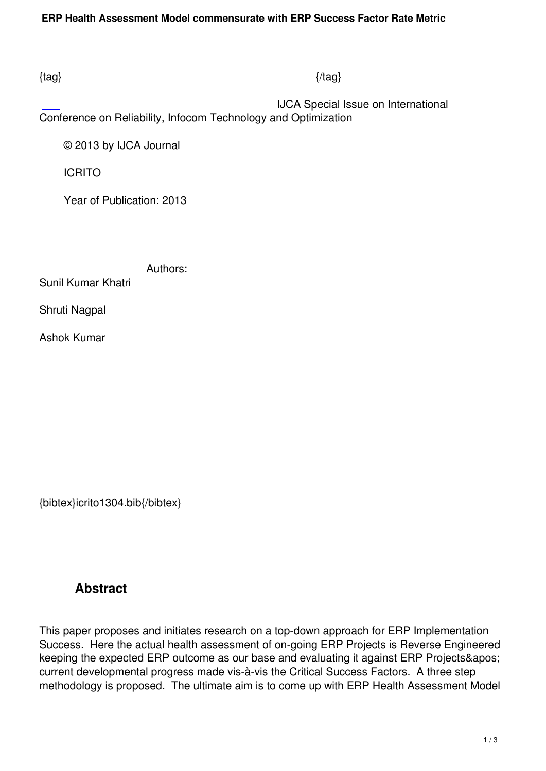### $\{tag\}$

 IJCA Special Issue on International Conference on Reliability, Infocom Technology and Optimization

© 2013 by IJCA Journal

ICRITO

Year of Publication: 2013

Authors:

Sunil Kumar Khatri

Shruti Nagpal

Ashok Kumar

{bibtex}icrito1304.bib{/bibtex}

# **Abstract**

This paper proposes and initiates research on a top-down approach for ERP Implementation Success. Here the actual health assessment of on-going ERP Projects is Reverse Engineered keeping the expected ERP outcome as our base and evaluating it against ERP Projects' current developmental progress made vis-à-vis the Critical Success Factors. A three step methodology is proposed. The ultimate aim is to come up with ERP Health Assessment Model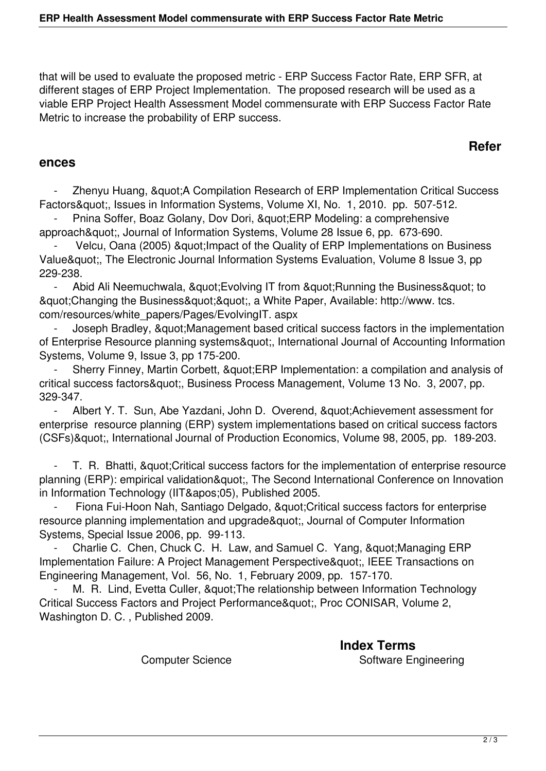that will be used to evaluate the proposed metric - ERP Success Factor Rate, ERP SFR, at different stages of ERP Project Implementation. The proposed research will be used as a viable ERP Project Health Assessment Model commensurate with ERP Success Factor Rate Metric to increase the probability of ERP success.

### **Refer**

#### **ences**

Zhenyu Huang, & quot; A Compilation Research of ERP Implementation Critical Success Factors", Issues in Information Systems, Volume XI, No. 1, 2010. pp. 507-512.

Pnina Soffer, Boaz Golany, Dov Dori, " ERP Modeling: a comprehensive approach", Journal of Information Systems, Volume 28 Issue 6, pp. 673-690.

Velcu, Oana (2005) & quot; Impact of the Quality of ERP Implementations on Business Value", The Electronic Journal Information Systems Evaluation, Volume 8 Issue 3, pp 229-238.

Abid Ali Neemuchwala, & quot; Evolving IT from & quot; Running the Business & quot; to & quot; Changing the Business & quot; & quot;, a White Paper, Available: http://www. tcs. com/resources/white\_papers/Pages/EvolvingIT. aspx

Joseph Bradley, & quot; Management based critical success factors in the implementation of Enterprise Resource planning systems", International Journal of Accounting Information Systems, Volume 9, Issue 3, pp 175-200.

Sherry Finney, Martin Corbett, " ERP Implementation: a compilation and analysis of critical success factors", Business Process Management, Volume 13 No. 3, 2007, pp. 329-347.

Albert Y. T. Sun, Abe Yazdani, John D. Overend, " Achievement assessment for enterprise resource planning (ERP) system implementations based on critical success factors (CSFs)", International Journal of Production Economics, Volume 98, 2005, pp. 189-203.

T. R. Bhatti, & quot: Critical success factors for the implementation of enterprise resource planning (ERP): empirical validation", The Second International Conference on Innovation in Information Technology (IIT'05), Published 2005.

Fiona Fui-Hoon Nah, Santiago Delgado, & quot: Critical success factors for enterprise resource planning implementation and upgrade", Journal of Computer Information Systems, Special Issue 2006, pp. 99-113.

Charlie C. Chen, Chuck C. H. Law, and Samuel C. Yang, " Managing ERP Implementation Failure: A Project Management Perspective", IEEE Transactions on Engineering Management, Vol. 56, No. 1, February 2009, pp. 157-170.

M. R. Lind, Evetta Culler, & quot; The relationship between Information Technology Critical Success Factors and Project Performance", Proc CONISAR, Volume 2, Washington D. C. , Published 2009.

> **Index Terms**  Computer Science Summan Software Engineering